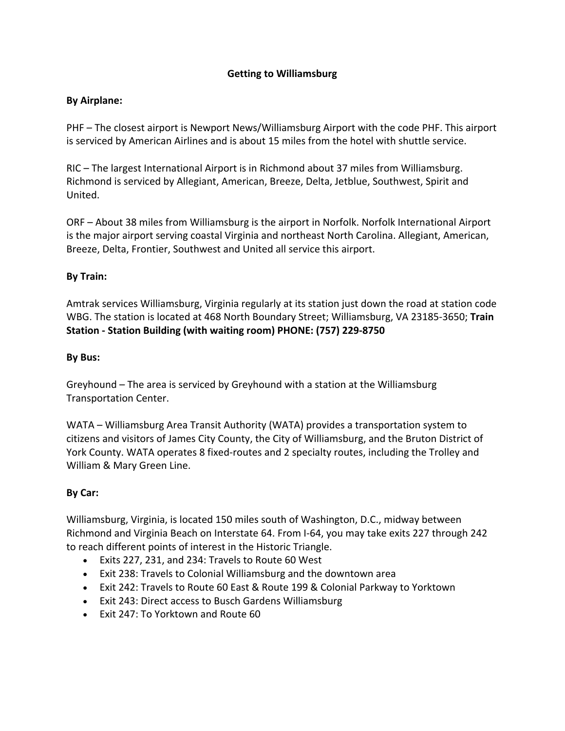# **Getting to Williamsburg**

### **By Airplane:**

PHF – The closest airport is Newport News/Williamsburg Airport with the code PHF. This airport is serviced by American Airlines and is about 15 miles from the hotel with shuttle service.

RIC – The largest International Airport is in Richmond about 37 miles from Williamsburg. Richmond is serviced by Allegiant, American, Breeze, Delta, Jetblue, Southwest, Spirit and United.

ORF – About 38 miles from Williamsburg is the airport in Norfolk. Norfolk International Airport is the major airport serving coastal Virginia and northeast North Carolina. Allegiant, American, Breeze, Delta, Frontier, Southwest and United all service this airport.

# **By Train:**

Amtrak services Williamsburg, Virginia regularly at its station just down the road at station code WBG. The station is located at 468 North Boundary Street; Williamsburg, VA 23185-3650; **Train Station - Station Building (with waiting room) PHONE: (757) 229-8750**

### **By Bus:**

Greyhound – The area is serviced by Greyhound with a station at the Williamsburg Transportation Center.

WATA – Williamsburg Area Transit Authority (WATA) provides a transportation system to citizens and visitors of James City County, the City of Williamsburg, and the Bruton District of York County. WATA operates 8 fixed-routes and 2 specialty routes, including the Trolley and William & Mary Green Line.

# **By Car:**

Williamsburg, Virginia, is located 150 miles south of Washington, D.C., midway between Richmond and Virginia Beach on Interstate 64. From I-64, you may take exits 227 through 242 to reach different points of interest in the Historic Triangle.

- Exits 227, 231, and 234: Travels to Route 60 West
- Exit 238: Travels to Colonial Williamsburg and the downtown area
- Exit 242: Travels to Route 60 East & Route 199 & Colonial Parkway to Yorktown
- Exit 243: Direct access to Busch Gardens Williamsburg
- Exit 247: To Yorktown and Route 60